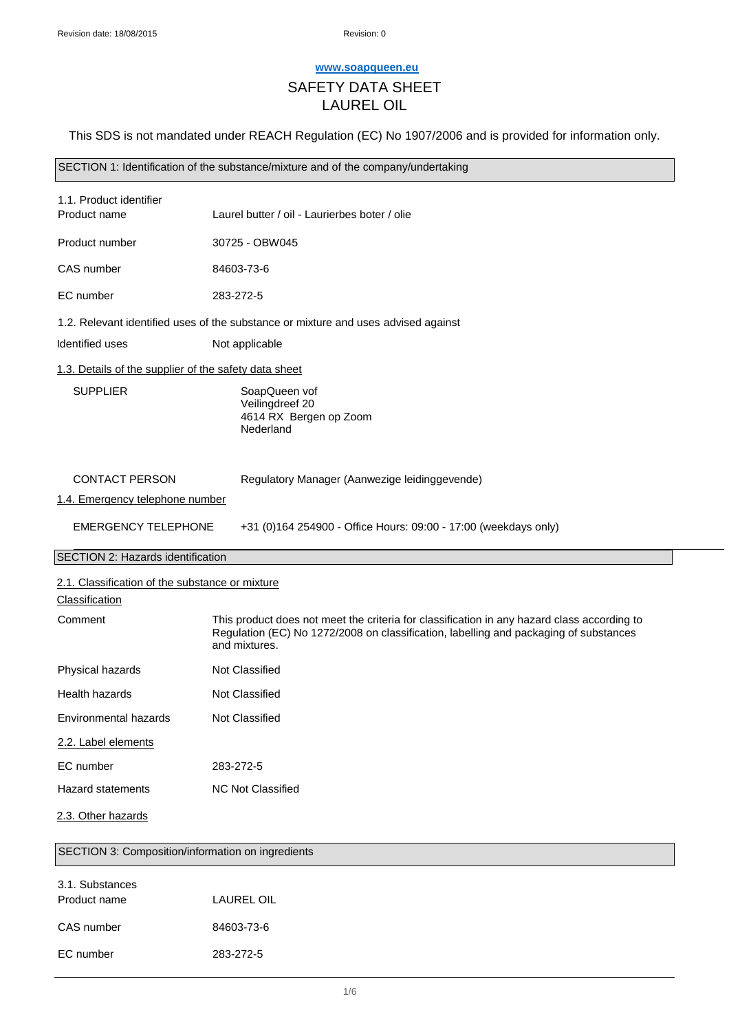## **[www.soapqueen.eu](http://www.soapqueen.eu/)**

# SAFETY DATA SHEET

# LAUREL OIL

This SDS is not mandated under REACH Regulation (EC) No 1907/2006 and is provided for information only.

SECTION 1: Identification of the substance/mixture and of the company/undertaking

| 1.1. Product identifier<br>Product name                           | Laurel butter / oil - Laurierbes boter / olie                                                                                                                                                         |
|-------------------------------------------------------------------|-------------------------------------------------------------------------------------------------------------------------------------------------------------------------------------------------------|
| Product number                                                    | 30725 - OBW045                                                                                                                                                                                        |
| CAS number                                                        | 84603-73-6                                                                                                                                                                                            |
| EC number                                                         | 283-272-5                                                                                                                                                                                             |
|                                                                   | 1.2. Relevant identified uses of the substance or mixture and uses advised against                                                                                                                    |
| Identified uses                                                   | Not applicable                                                                                                                                                                                        |
| 1.3. Details of the supplier of the safety data sheet             |                                                                                                                                                                                                       |
| <b>SUPPLIER</b>                                                   | SoapQueen vof<br>Veilingdreef 20<br>4614 RX Bergen op Zoom<br>Nederland                                                                                                                               |
| <b>CONTACT PERSON</b><br>1.4. Emergency telephone number          | Regulatory Manager (Aanwezige leidinggevende)                                                                                                                                                         |
| <b>EMERGENCY TELEPHONE</b>                                        | +31 (0)164 254900 - Office Hours: 09:00 - 17:00 (weekdays only)                                                                                                                                       |
|                                                                   |                                                                                                                                                                                                       |
| SECTION 2: Hazards identification                                 |                                                                                                                                                                                                       |
| 2.1. Classification of the substance or mixture<br>Classification |                                                                                                                                                                                                       |
| Comment                                                           | This product does not meet the criteria for classification in any hazard class according to<br>Regulation (EC) No 1272/2008 on classification, labelling and packaging of substances<br>and mixtures. |
| Physical hazards                                                  | Not Classified                                                                                                                                                                                        |
| Health hazards                                                    | Not Classified                                                                                                                                                                                        |
| Environmental hazards                                             | Not Classified                                                                                                                                                                                        |
| 2.2. Label elements                                               |                                                                                                                                                                                                       |
| EC number                                                         | 283-272-5                                                                                                                                                                                             |
| <b>Hazard statements</b>                                          | <b>NC Not Classified</b>                                                                                                                                                                              |
| 2.3. Other hazards                                                |                                                                                                                                                                                                       |
| SECTION 3: Composition/information on ingredients                 |                                                                                                                                                                                                       |

| Product name | LAUREL OIL |
|--------------|------------|
| CAS number   | 84603-73-6 |
| EC number    | 283-272-5  |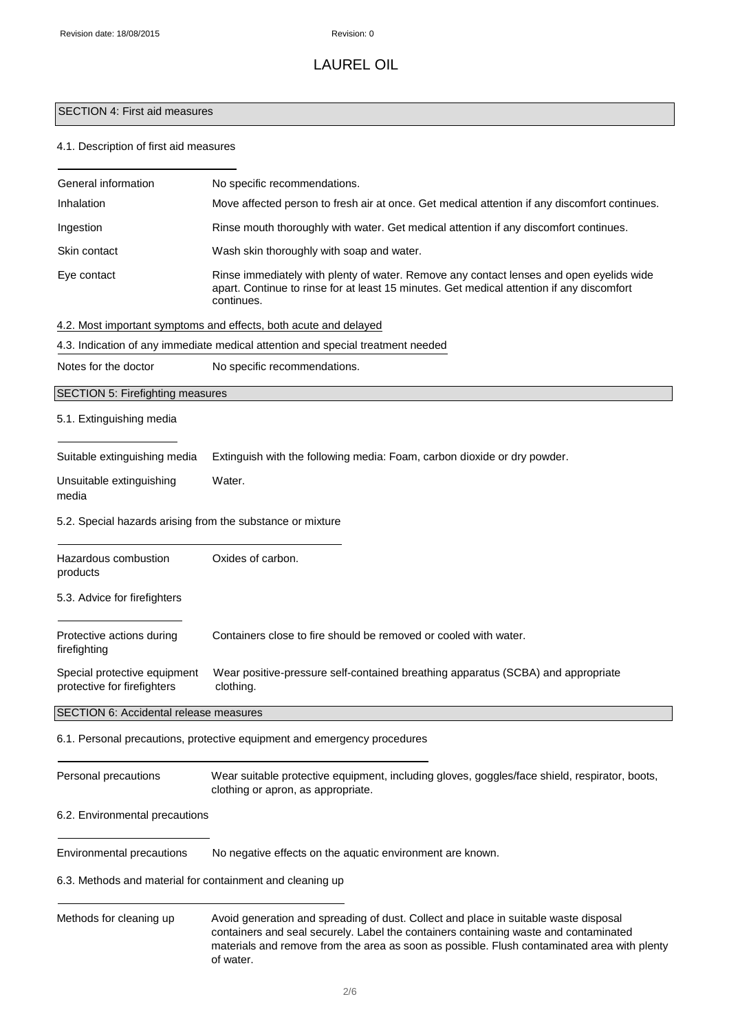# SECTION 4: First aid measures

## 4.1. Description of first aid measures

| General information                                         | No specific recommendations.                                                                                                                                                                                                                                                |
|-------------------------------------------------------------|-----------------------------------------------------------------------------------------------------------------------------------------------------------------------------------------------------------------------------------------------------------------------------|
| Inhalation                                                  | Move affected person to fresh air at once. Get medical attention if any discomfort continues.                                                                                                                                                                               |
| Ingestion                                                   | Rinse mouth thoroughly with water. Get medical attention if any discomfort continues.                                                                                                                                                                                       |
| Skin contact                                                | Wash skin thoroughly with soap and water.                                                                                                                                                                                                                                   |
| Eye contact                                                 | Rinse immediately with plenty of water. Remove any contact lenses and open eyelids wide<br>apart. Continue to rinse for at least 15 minutes. Get medical attention if any discomfort<br>continues.                                                                          |
|                                                             | 4.2. Most important symptoms and effects, both acute and delayed                                                                                                                                                                                                            |
|                                                             | 4.3. Indication of any immediate medical attention and special treatment needed                                                                                                                                                                                             |
| Notes for the doctor                                        | No specific recommendations.                                                                                                                                                                                                                                                |
| <b>SECTION 5: Firefighting measures</b>                     |                                                                                                                                                                                                                                                                             |
| 5.1. Extinguishing media                                    |                                                                                                                                                                                                                                                                             |
| Suitable extinguishing media                                | Extinguish with the following media: Foam, carbon dioxide or dry powder.                                                                                                                                                                                                    |
| Unsuitable extinguishing<br>media                           | Water.                                                                                                                                                                                                                                                                      |
| 5.2. Special hazards arising from the substance or mixture  |                                                                                                                                                                                                                                                                             |
| Hazardous combustion<br>products                            | Oxides of carbon.                                                                                                                                                                                                                                                           |
| 5.3. Advice for firefighters                                |                                                                                                                                                                                                                                                                             |
| Protective actions during<br>firefighting                   | Containers close to fire should be removed or cooled with water.                                                                                                                                                                                                            |
| Special protective equipment<br>protective for firefighters | Wear positive-pressure self-contained breathing apparatus (SCBA) and appropriate<br>clothing.                                                                                                                                                                               |
| SECTION 6: Accidental release measures                      |                                                                                                                                                                                                                                                                             |
|                                                             | 6.1. Personal precautions, protective equipment and emergency procedures                                                                                                                                                                                                    |
| Personal precautions                                        | Wear suitable protective equipment, including gloves, goggles/face shield, respirator, boots,<br>clothing or apron, as appropriate.                                                                                                                                         |
| 6.2. Environmental precautions                              |                                                                                                                                                                                                                                                                             |
| Environmental precautions                                   | No negative effects on the aquatic environment are known.                                                                                                                                                                                                                   |
| 6.3. Methods and material for containment and cleaning up   |                                                                                                                                                                                                                                                                             |
| Methods for cleaning up                                     | Avoid generation and spreading of dust. Collect and place in suitable waste disposal<br>containers and seal securely. Label the containers containing waste and contaminated<br>materials and remove from the area as soon as possible. Flush contaminated area with plenty |

of water.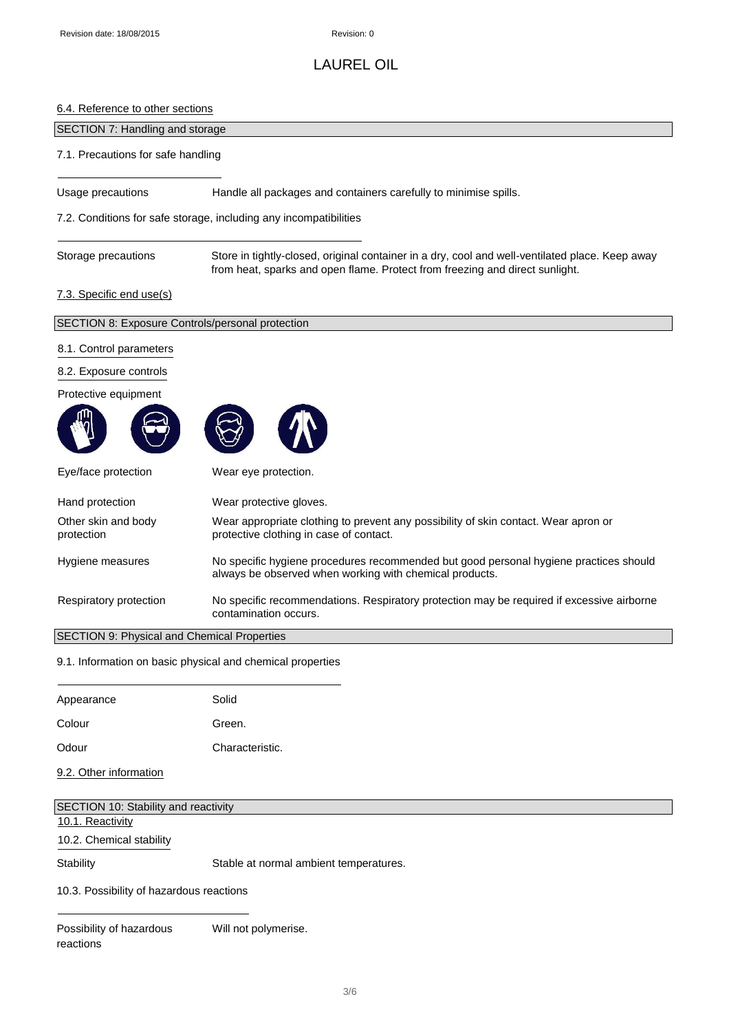## 6.4. Reference to other sections

| SECTION 7: Handling and storage                  |                                                                                                                                                                                 |
|--------------------------------------------------|---------------------------------------------------------------------------------------------------------------------------------------------------------------------------------|
| 7.1. Precautions for safe handling               |                                                                                                                                                                                 |
| Usage precautions                                | Handle all packages and containers carefully to minimise spills.                                                                                                                |
|                                                  | 7.2. Conditions for safe storage, including any incompatibilities                                                                                                               |
| Storage precautions                              | Store in tightly-closed, original container in a dry, cool and well-ventilated place. Keep away<br>from heat, sparks and open flame. Protect from freezing and direct sunlight. |
| 7.3. Specific end use(s)                         |                                                                                                                                                                                 |
| SECTION 8: Exposure Controls/personal protection |                                                                                                                                                                                 |
| 8.1. Control parameters                          |                                                                                                                                                                                 |
| 8.2. Exposure controls                           |                                                                                                                                                                                 |
| Protective equipment                             |                                                                                                                                                                                 |
|                                                  |                                                                                                                                                                                 |
| Eye/face protection                              | Wear eye protection.                                                                                                                                                            |
| Hand protection                                  | Wear protective gloves.                                                                                                                                                         |
| Other skin and body<br>protection                | Wear appropriate clothing to prevent any possibility of skin contact. Wear apron or<br>protective clothing in case of contact.                                                  |
| Hygiene measures                                 | No specific hygiene procedures recommended but good personal hygiene practices should<br>always be observed when working with chemical products.                                |
| Respiratory protection                           | No specific recommendations. Respiratory protection may be required if excessive airborne<br>contamination occurs.                                                              |
| SECTION 9: Physical and Chemical Properties      |                                                                                                                                                                                 |
|                                                  | 9.1. Information on basic physical and chemical properties                                                                                                                      |

| Appearance | Solid           |
|------------|-----------------|
| Colour     | Green.          |
| Odour      | Characteristic. |

9.2. Other information

| SECTION 10: Stability and reactivity     |                                        |
|------------------------------------------|----------------------------------------|
| 10.1. Reactivity                         |                                        |
| 10.2. Chemical stability                 |                                        |
| Stability                                | Stable at normal ambient temperatures. |
| 10.3. Possibility of hazardous reactions |                                        |

Possibility of hazardous Will not polymerise. reactions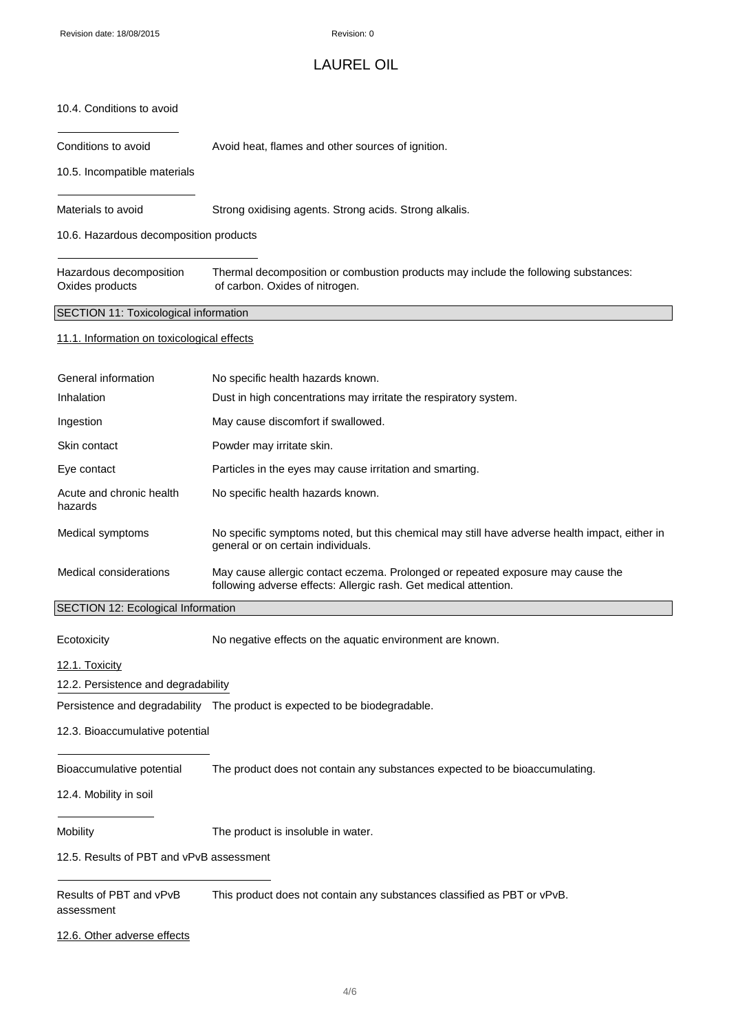## LAUREL OIL

#### 10.4. Conditions to avoid

Conditions to avoid **Avoid heat, flames and other sources of ignition.** 

10.5. Incompatible materials

Materials to avoid Strong oxidising agents. Strong acids. Strong alkalis.

10.6. Hazardous decomposition products

| Hazardous decomposition | Thermal decomposition or combustion products may include the following substances: |
|-------------------------|------------------------------------------------------------------------------------|
| Oxides products         | of carbon. Oxides of nitrogen.                                                     |

SECTION 11: Toxicological information

#### 11.1. Information on toxicological effects

| General information                 | No specific health hazards known.                                                                                                                   |
|-------------------------------------|-----------------------------------------------------------------------------------------------------------------------------------------------------|
| Inhalation                          | Dust in high concentrations may irritate the respiratory system.                                                                                    |
| Ingestion                           | May cause discomfort if swallowed.                                                                                                                  |
| Skin contact                        | Powder may irritate skin.                                                                                                                           |
| Eye contact                         | Particles in the eyes may cause irritation and smarting.                                                                                            |
| Acute and chronic health<br>hazards | No specific health hazards known.                                                                                                                   |
| Medical symptoms                    | No specific symptoms noted, but this chemical may still have adverse health impact, either in<br>general or on certain individuals.                 |
| Medical considerations              | May cause allergic contact eczema. Prolonged or repeated exposure may cause the<br>following adverse effects: Allergic rash. Get medical attention. |
| SECTION 12: Ecological Information  |                                                                                                                                                     |

Ecotoxicity No negative effects on the aquatic environment are known.

12.1. Toxicity

12.2. Persistence and degradability

Persistence and degradability The product is expected to be biodegradable.

#### 12.3. Bioaccumulative potential

Bioaccumulative potential The product does not contain any substances expected to be bioaccumulating.

#### 12.4. Mobility in soil

Mobility Mobility The product is insoluble in water.

12.5. Results of PBT and vPvB assessment

Results of PBT and vPvB This product does not contain any substances classified as PBT or vPvB. assessment

### 12.6. Other adverse effects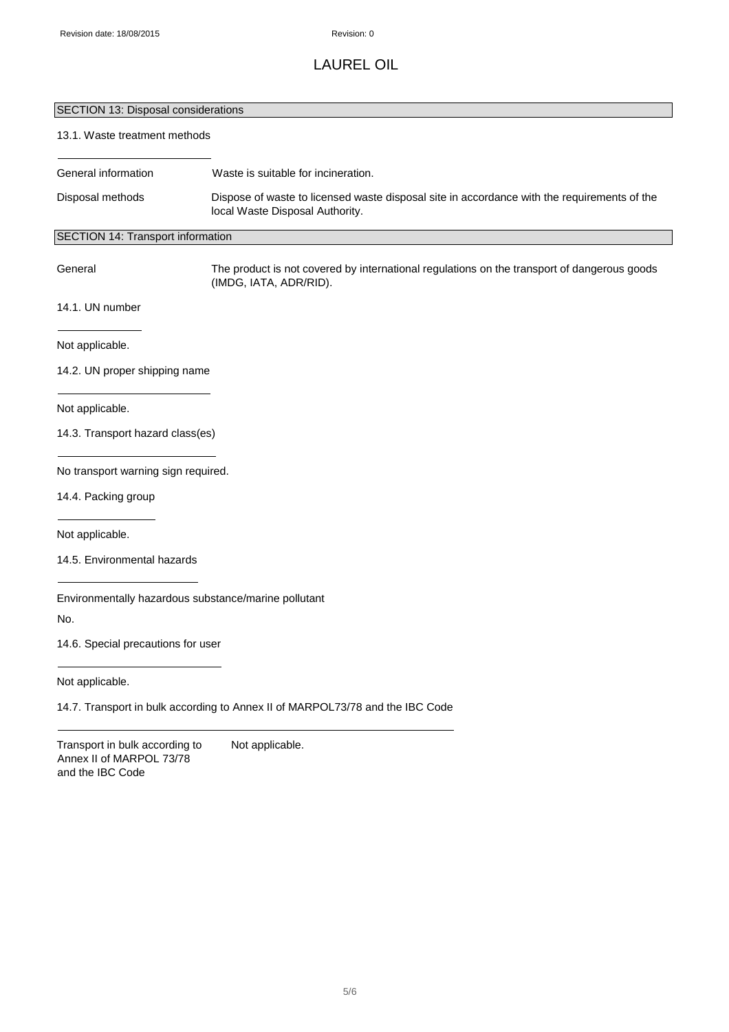# SECTION 13: Disposal considerations

## 13.1. Waste treatment methods

| General information                                                            | Waste is suitable for incineration.                                                                                            |
|--------------------------------------------------------------------------------|--------------------------------------------------------------------------------------------------------------------------------|
| Disposal methods                                                               | Dispose of waste to licensed waste disposal site in accordance with the requirements of the<br>local Waste Disposal Authority. |
| SECTION 14: Transport information                                              |                                                                                                                                |
| General                                                                        | The product is not covered by international regulations on the transport of dangerous goods<br>(IMDG, IATA, ADR/RID).          |
| 14.1. UN number                                                                |                                                                                                                                |
| Not applicable.                                                                |                                                                                                                                |
| 14.2. UN proper shipping name                                                  |                                                                                                                                |
| Not applicable.                                                                |                                                                                                                                |
| 14.3. Transport hazard class(es)                                               |                                                                                                                                |
| No transport warning sign required.                                            |                                                                                                                                |
| 14.4. Packing group                                                            |                                                                                                                                |
| Not applicable.                                                                |                                                                                                                                |
| 14.5. Environmental hazards                                                    |                                                                                                                                |
|                                                                                | Environmentally hazardous substance/marine pollutant                                                                           |
| No.                                                                            |                                                                                                                                |
| 14.6. Special precautions for user                                             |                                                                                                                                |
| Not applicable.                                                                |                                                                                                                                |
|                                                                                | 14.7. Transport in bulk according to Annex II of MARPOL73/78 and the IBC Code                                                  |
| Transport in bulk according to<br>Annex II of MARPOL 73/78<br>and the IBC Code | Not applicable.                                                                                                                |